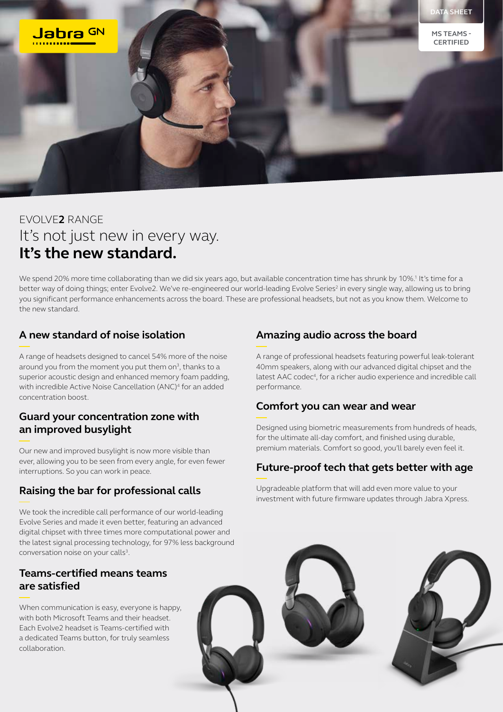

# EVOLVE**2** RANGE It's not just new in every way. **It's the new standard.**

We spend 20% more time collaborating than we did six years ago, but available concentration time has shrunk by 10%.<sup>1</sup> It's time for a better way of doing things; enter Evolve2. We've re-engineered our world-leading Evolve Series<sup>2</sup> in every single way, allowing us to bring you significant performance enhancements across the board. These are professional headsets, but not as you know them. Welcome to the new standard.

# **A new standard of noise isolation**

A range of headsets designed to cancel 54% more of the noise around you from the moment you put them on<sup>3</sup>, thanks to a superior acoustic design and enhanced memory foam padding, with incredible Active Noise Cancellation (ANC)<sup>4</sup> for an added concentration boost.

#### **Guard your concentration zone with an improved busylight**

Our new and improved busylight is now more visible than ever, allowing you to be seen from every angle, for even fewer interruptions. So you can work in peace.

# **Raising the bar for professional calls**

We took the incredible call performance of our world-leading Evolve Series and made it even better, featuring an advanced digital chipset with three times more computational power and the latest signal processing technology, for 97% less background conversation noise on your calls<sup>3</sup>.

### **Teams-certified means teams are satisfied**

When communication is easy, everyone is happy, with both Microsoft Teams and their headset. Each Evolve2 headset is Teams-certified with a dedicated Teams button, for truly seamless collaboration.

# **Amazing audio across the board**

A range of professional headsets featuring powerful leak-tolerant 40mm speakers, along with our advanced digital chipset and the latest AAC codec<sup>4</sup>, for a richer audio experience and incredible call performance.

#### **Comfort you can wear and wear**

Designed using biometric measurements from hundreds of heads, for the ultimate all-day comfort, and finished using durable, premium materials. Comfort so good, you'll barely even feel it.

### **Future-proof tech that gets better with age**

Upgradeable platform that will add even more value to your investment with future firmware updates through Jabra Xpress.